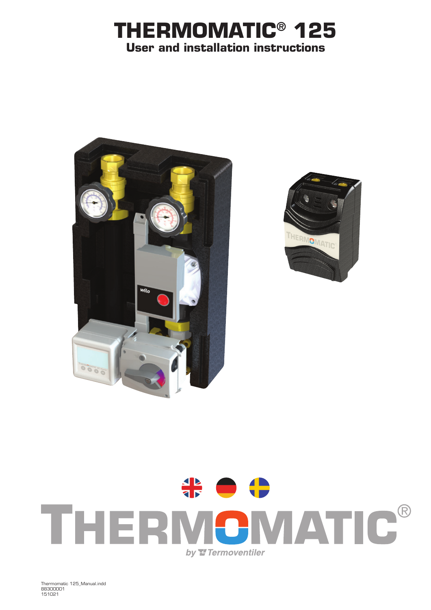## **THERMOMATIC® 125 User and installation instructions**







Thermomatic 125\_Manual.indd 88300001 151021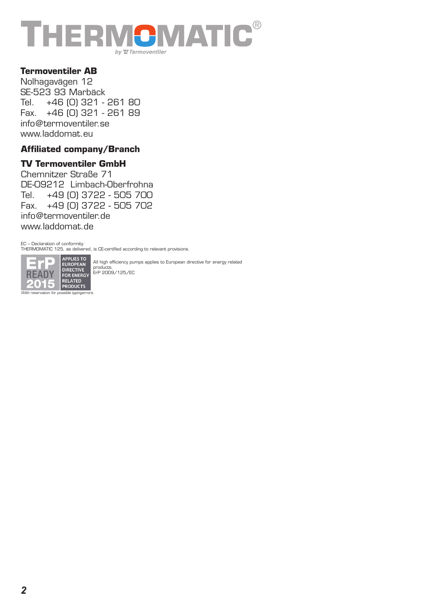

#### **Termoventiler AB**

Nolhagavägen 12 SE-523 93 Marbäck Tel. +46 (0) 321 - 261 80 Fax. +46 (0) 321 - 261 89 info@termoventiler.se www.laddomat.eu

#### **Affiliated company/Branch**

#### **TV Termoventiler GmbH**

Chemnitzer Straße 71 DE-09212 Limbach-Oberfrohna Tel. +49 (0) 3722 - 505 700 Fax. +49 (0) 3722 - 505 702 info@termoventiler.de www.laddomat.de

EC – Declaration of conformity:

THERMOMATIC 125, as delivered, is CE-certified according to relevant provisions.



All high efficiency pumps applies to European directive for energy related products. ErP 2009/125/EC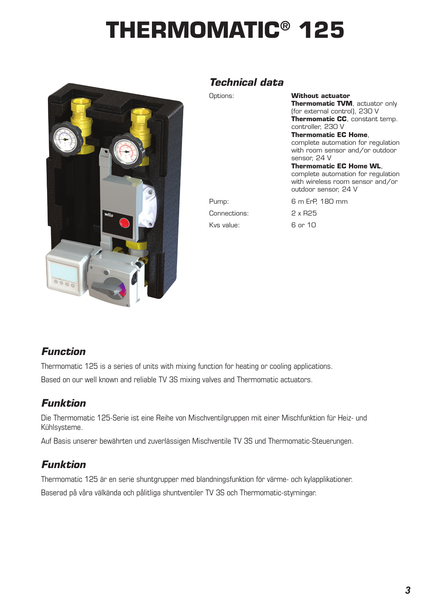# **THERMOMATIC® 125**



#### *Technical data*

| Jptions:     | Without actuator<br>Thermomatic TVM, actuator only<br>(for external control), 230 V<br><b>Thermomatic CC</b> , constant temp.<br>controller, 230 V<br><b>Thermomatic EC Home.</b><br>complete automation for regulation<br>with room sensor and/or outdoor<br>sensor, 24 V<br><b>Thermomatic EC Home WL,</b><br>complete automation for regulation<br>with wireless room sensor and/or<br>outdoor sensor, 24 V |
|--------------|----------------------------------------------------------------------------------------------------------------------------------------------------------------------------------------------------------------------------------------------------------------------------------------------------------------------------------------------------------------------------------------------------------------|
| Pump:        | 6 m ErP, 180 mm                                                                                                                                                                                                                                                                                                                                                                                                |
| Connections: | $2 \times R25$                                                                                                                                                                                                                                                                                                                                                                                                 |
| Kvs value:   | 6 or 10                                                                                                                                                                                                                                                                                                                                                                                                        |

#### *Function*

Thermomatic 125 is a series of units with mixing function for heating or cooling applications. Based on our well known and reliable TV 3S mixing valves and Thermomatic actuators.

## *Funktion*

Die Thermomatic 125-Serie ist eine Reihe von Mischventilgruppen mit einer Mischfunktion für Heiz- und Kühlsysteme.

Auf Basis unserer bewährten und zuverlässigen Mischventile TV 3S und Thermomatic-Steuerungen.

## *Funktion*

Thermomatic 125 är en serie shuntgrupper med blandningsfunktion för värme- och kylapplikationer. Baserad på våra välkända och pålitliga shuntventiler TV 3S och Thermomatic-styrningar.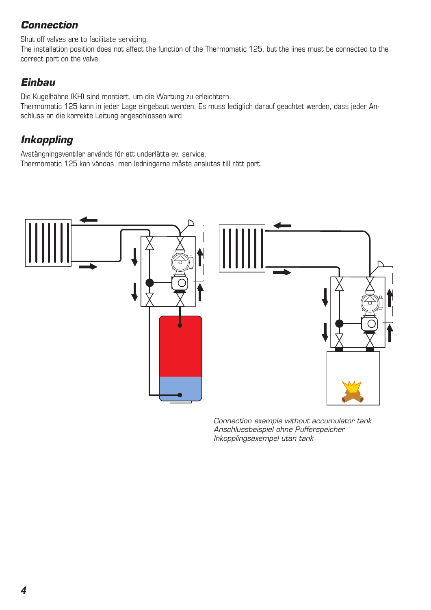## *Connection*

Shut off valves are to facilitate servicing.

The installation position does not affect the function of the Thermomatic 125, but the lines must be connected to the correct port on the valve.

## *Einbau*

Die Kugelhähne (KH) sind montiert, um die Wartung zu erleichtern.

Thermomatic 125 kann in jeder Lage eingebaut werden. Es muss lediglich darauf geachtet werden, dass jeder Anschluss an die korrekte Leitung angeschlossen wird.

## *Inkoppling*

Avstängningsventiler används för att underlätta ev. service. Thermomatic 125 kan vändas, men ledningarna måste anslutas till rätt port.



*Connection example without accumulator tank Anschlussbeispiel ohne Pufferspeicher Inkopplingsexempel utan tank*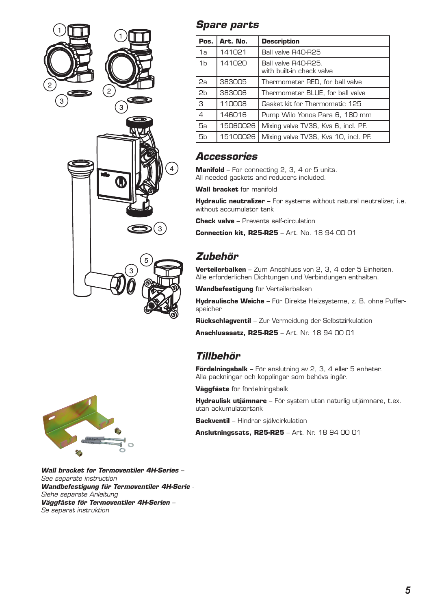

#### *Spare parts*

| Pos.           | Art. No. | <b>Description</b>                               |
|----------------|----------|--------------------------------------------------|
| 1a             | 141021   | Ball valve R40-R25                               |
| 1 <sub>b</sub> | 141020   | Ball valve R40-R25,<br>with built-in check valve |
| 2a             | 383005   | Thermometer RED, for ball valve                  |
| 2 <sub>b</sub> | 383006   | Thermometer BLUE, for ball valve                 |
| З              | 110008   | Gasket kit for Thermomatic 125                   |
| $\overline{4}$ | 146016   | Pump Wilo Yonos Para 6, 180 mm                   |
| 5а             | 15060026 | Mixing valve TV3S, Kvs 6, incl. PF.              |
| 5b             | 15100026 | Mixing valve TV3S, Kvs 10, incl. PF.             |

#### *Accessories*

**Manifold** – For connecting 2, 3, 4 or 5 units. All needed gaskets and reducers included.

**Wall bracket** for manifold

**Hydraulic neutralizer** – For systems without natural neutralizer, i.e. without accumulator tank

**Check valve** – Prevents self-circulation

**Connection kit, R25-R25** – Art. No. 18 94 00 01

## *Zubehör*

**Verteilerbalken** – Zum Anschluss von 2, 3, 4 oder 5 Einheiten. Alle erforderlichen Dichtungen und Verbindungen enthalten.

**Wandbefestigung** für Verteilerbalken

**Hydraulische Weiche** – Für Direkte Heizsysteme, z. B. ohne Pufferspeicher

**Rückschlagventil** – Zur Vermeidung der Selbstzirkulation

**Anschlusssatz, R25-R25** – Art. Nr. 18 94 00 01

#### *Tillbehör*

**Fördelningsbalk** – För anslutning av 2, 3, 4 eller 5 enheter. Alla packningar och kopplingar som behövs ingår.

**Väggfäste** för fördelningsbalk

**Hydraulisk utjämnare** – För system utan naturlig utjämnare, t.ex. utan ackumulatortank

**Backventil** – Hindrar självcirkulation

**Anslutningssats, R25-R25** – Art. Nr. 18 94 00 01



*Wall bracket for Termoventiler 4H-Series – See separate instruction Wandbefestigung für Termoventiler 4H-Serie - Siehe separate Anleitung Väggfäste för Termoventiler 4H-Serien – Se separat instruktion*